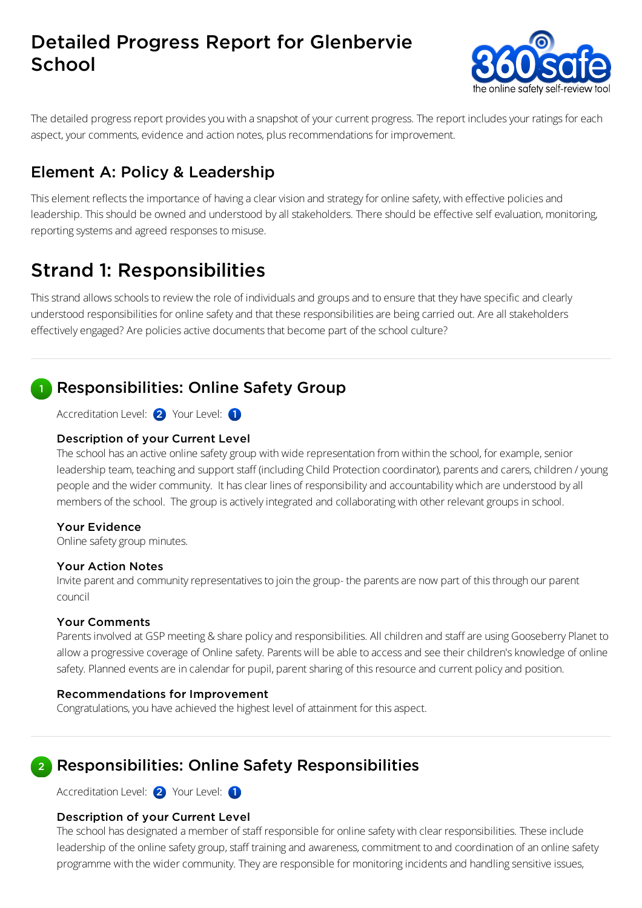# Detailed Progress Report for Glenbervie **School**



The detailed progress report provides you with a snapshot of your current progress. The report includes your ratings for each aspect, your comments, evidence and action notes, plus recommendations for improvement.

## Element A: Policy & Leadership

This element reflects the importance of having a clear vision and strategy for online safety, with effective policies and leadership. This should be owned and understood by all stakeholders. There should be effective self evaluation, monitoring, reporting systems and agreed responses to misuse.

# Strand 1: Responsibilities

This strand allows schools to review the role of individuals and groups and to ensure that they have specific and clearly understood responsibilities for online safety and that these responsibilities are being carried out. Are all stakeholders effectively engaged? Are policies active documents that become part of the school culture?

### Responsibilities: Online Safety Group

Accreditation Level: 2 Your Level: 1

### Description of your Current Level

The school has an active online safety group with wide representation from within the school, for example, senior leadership team, teaching and support staff (including Child Protection coordinator), parents and carers, children / young people and the widercommunity. It hasclear lines of responsibilityand accountability which are understood byall members of the school. The group is actively integrated and collaborating with other relevant groups in school.

### Your Evidence

Online safety group minutes.

### Your Action Notes

Invite parent and community representatives to join the group- the parents are now part of this through our parent council

### Your Comments

Parents involved at GSP meeting & share policy and responsibilities. All children and staff are using Gooseberry Planet to allow a progressive coverage of Online safety. Parents will be able to access and see their children's knowledge of online safety. Planned events are in calendar for pupil, parent sharing of this resource and current policy and position.

### Recommendations for Improvement

Congratulations, you have achieved the highest level of attainment for this aspect.

#### Responsibilities: Online Safety Responsibilities 2

Accreditation Level: 2 Your Level: 1

### Description of your Current Level

The school has designated a member of staff responsible for online safety with clear responsibilities. These include leadership of the online safety group, staff training and awareness, commitment to and coordination of an online safety programme with the wider community. They are responsible for monitoring incidents and handling sensitive issues,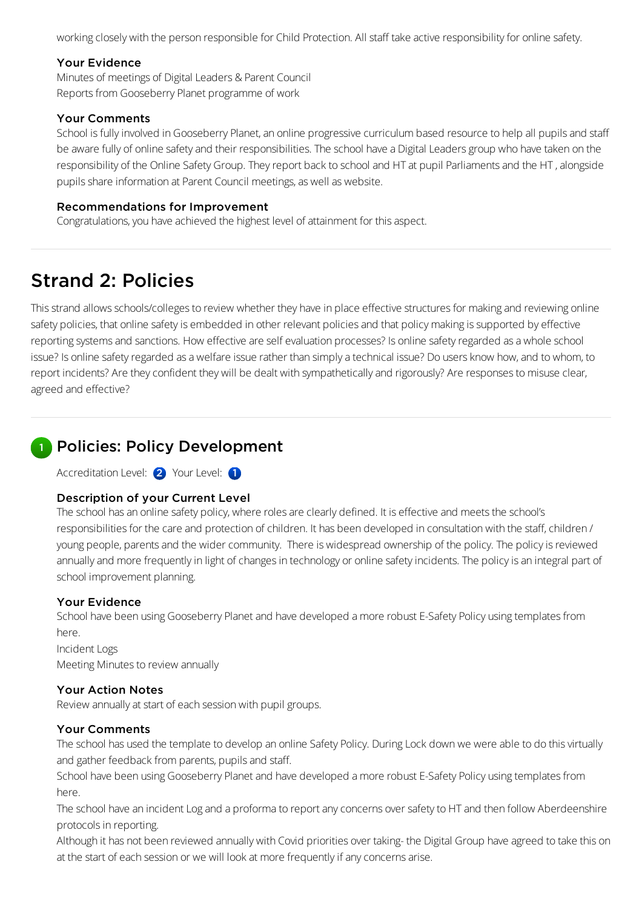working closely with the person responsible for Child Protection. All staff take active responsibility for online safety.

### Your Evidence

Minutes of meetings of Digital Leaders & Parent Council Reports from Gooseberry Planet programme of work

### Your Comments

School is fully involved in Gooseberry Planet, an online progressive curriculum based resource to help all pupils and staff be aware fully of online safety and their responsibilities. The school have a Digital Leaders group who have taken on the responsibility of the Online Safety Group. They report back to school and HT at pupil Parliaments and the HT, alongside pupils share information at Parent Council meetings, as well as website.

### Recommendations for Improvement

Congratulations, you have achieved the highest level of attainment for this aspect.

# Strand 2: Policies

This strand allows schools/colleges to review whether they have in place effective structures for making and reviewing online safety policies, that online safety is embedded in other relevant policies and that policy making is supported by effective reporting systems and sanctions. How effective are self evaluation processes? Is online safety regarded as a whole school issue? Is online safety regarded as a welfare issue rather than simply a technical issue? Do users know how, and to whom, to report incidents? Are they confident they will be dealt with sympathetically and rigorously? Are responses to misuse clear, agreed and effective?

## **Policies: Policy Development**

Accreditation Level: 2 Your Level: 1

### Description of your Current Level

The school has an online safety policy, where roles are clearly defined. It is effective and meets the school's responsibilities for the care and protection of children. It has been developed in consultation with the staff, children / young people, parents and the wider community. There is widespread ownership of the policy. The policy is reviewed annually and more frequently in light of changes in technology or online safety incidents. The policy is an integral part of school improvement planning.

### Your Evidence

School have been using Gooseberry Planet and have developed a more robust E-Safety Policy using templates from here.

Incident Logs Meeting Minutes to review annually

### Your Action Notes

Review annually at start of each session with pupil groups.

### Your Comments

The school has used the template to develop an online Safety Policy. During Lock down we were able to do this virtually and gather feedback from parents, pupils and staff.

School have been using Gooseberry Planet and have developed a more robust E-Safety Policy using templates from here.

The school have an incident Log and a proforma to report any concerns over safety to HT and then follow Aberdeenshire protocols in reporting.

Although it has not been reviewed annually with Covid priorities over taking- the Digital Group have agreed to take this on at the start of each session or we will look at more frequently if any concerns arise.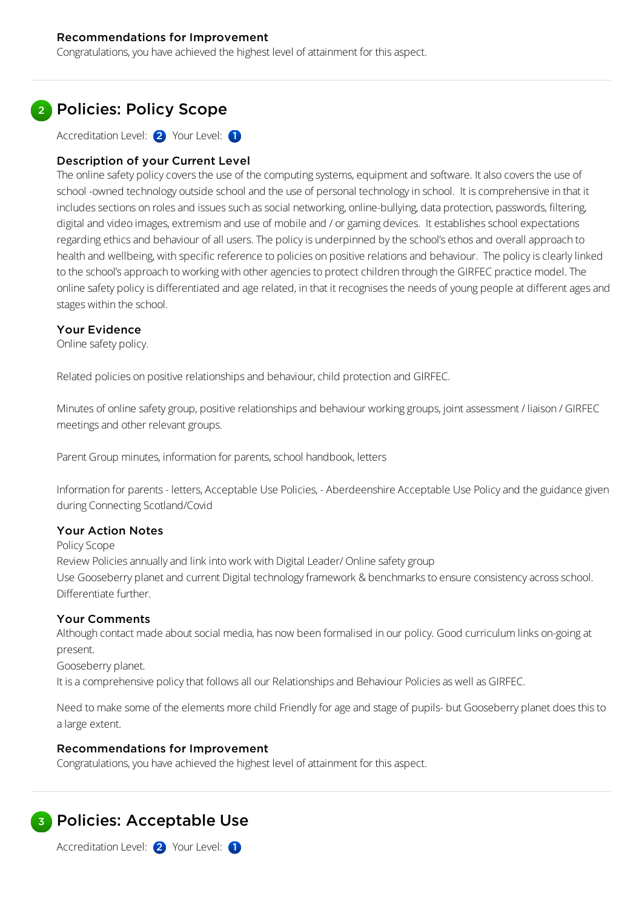### Recommendations for Improvement

Congratulations, you have achieved the highest level of attainment for this aspect.

### 2 Policies: Policy Scope

Accreditation Level: 2 Your Level: 1

### Description of your Current Level

The online safety policy covers the use of the computing systems, equipment and software. It also covers the use of school -owned technology outside school and the use of personal technology in school. It is comprehensive in that it includes sections on roles and issues such as social networking, online-bullying, data protection, passwords, filtering, digital and video images, extremism and use of mobile and / or gaming devices. It establishes school expectations regarding ethics and behaviour of all users. The policy is underpinned by the school's ethos and overall approach to health and wellbeing, with specific reference to policies on positive relationsand behaviour. The policyisclearlylinked to the school's approach to working with other agencies to protect children through the GIRFEC practice model. The online safety policy is differentiated and age related, in that it recognises the needs of young people at different ages and stages within the school.

### Your Evidence

Online safety policy.

Related policies on positive relationships and behaviour, child protection and GIRFEC.

Minutes of online safety group, positive relationships and behaviour working groups, joint assessment / liaison / GIRFEC meetings and other relevant groups.

Parent Group minutes, information for parents, school handbook, letters

Information for parents- letters, Acceptable Use Policies, - Aberdeenshire Acceptable Use Policyand the guidance given during Connecting Scotland/Covid

#### Your Action Notes

Policy Scope Review Policies annually and link into work with Digital Leader/ Online safety group Use Gooseberry planet and current Digital technology framework & benchmarks to ensure consistency across school. Differentiate further.

### Your Comments

Although contact made about social media, has now been formalised in our policy. Good curriculum links on-going at present.

Gooseberry planet.

It is a comprehensive policy that follows all our Relationships and Behaviour Policies as well as GIRFEC.

Need to make some of the elements more child Friendly for age and stage of pupils- but Gooseberry planet does this to alarge extent.

### Recommendations for Improvement

Congratulations, you have achieved the highest level of attainment for this aspect.



Accreditation Level: 2 Your Level: 1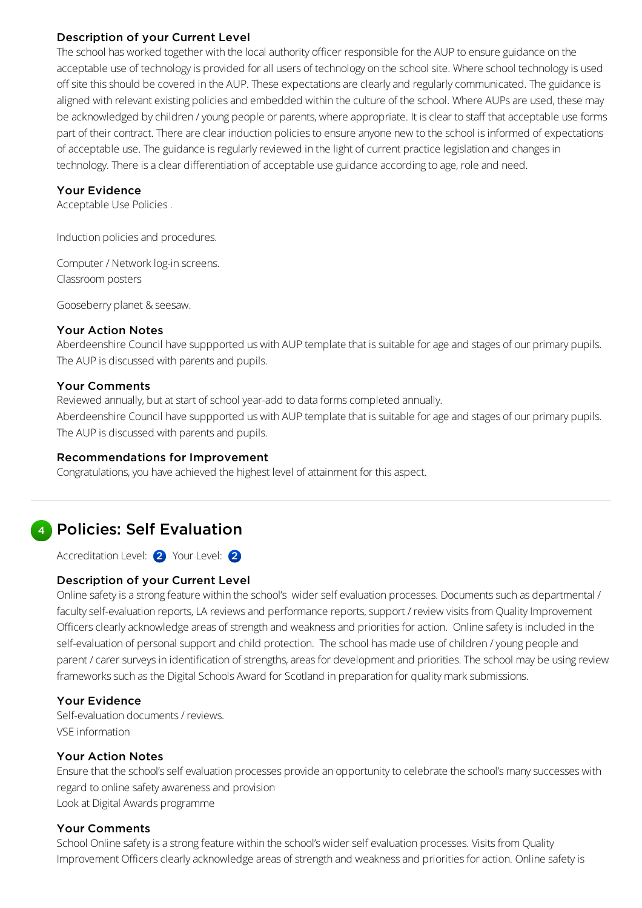### Description of your Current Level

The school has worked together with the local authority officer responsible for the AUP to ensure guidance on the acceptable use of technology is provided for all users of technology on the school site. Where school technology is used off site this should be covered in the AUP. These expectations are clearly and regularly communicated. The guidance is aligned with relevant existing policies and embedded within the culture of the school. Where AUPs are used, these may be acknowledged by children / young people or parents, where appropriate. It is clear to staff that acceptable use forms part of their contract. There are clear induction policies to ensure anyone new to the school is informed of expectations of acceptable use. The guidance is regularly reviewed in the light of current practice legislation and changes in technology. There is a clear differentiation of acceptable use guidance according to age, role and need.

### Your Evidence

Acceptable Use Policies.

Induction policies and procedures.

Computer / Network log-in screens. Classroom posters

Gooseberry planet & seesaw.

### Your Action Notes

Aberdeenshire Council have suppported us with AUP template that is suitable for age and stages of our primary pupils. The AUP is discussed with parents and pupils.

### Your Comments

Reviewed annually, but at start of school year-add to data forms completed annually.

Aberdeenshire Council have suppported us with AUP template that is suitable for age and stages of our primary pupils. The AUP is discussed with parents and pupils.

### Recommendations for Improvement

Congratulations, you have achieved the highest level of attainment for this aspect.

# 4 Policies: Self Evaluation

Accreditation Level: 2 Your Level: 2

### Description of your Current Level

Online safety is a strong feature within the school's wider self evaluation processes. Documents such as departmental / faculty self-evaluation reports, LA reviews and performance reports, support / review visits from Quality Improvement Officers clearly acknowledge areas of strength and weakness and priorities for action. Online safety is included in the self-evaluation of personal support and child protection. The school has made use of children / young people and parent / carer surveys in identification of strengths, areas for development and priorities. The school may be using review frameworks such as the Digital Schools Award for Scotland in preparation for quality mark submissions.

### Your Evidence

Self-evaluation documents/ reviews. VSE information

### Your Action Notes

Ensure that the school's self evaluation processes provide an opportunity to celebrate the school's many successes with regard to online safety awareness and provision Lookat Digital Awards programme

### Your Comments

School Online safety is a strong feature within the school's wider self evaluation processes. Visits from Quality Improvement Officers clearly acknowledge areas of strength and weakness and priorities for action. Online safety is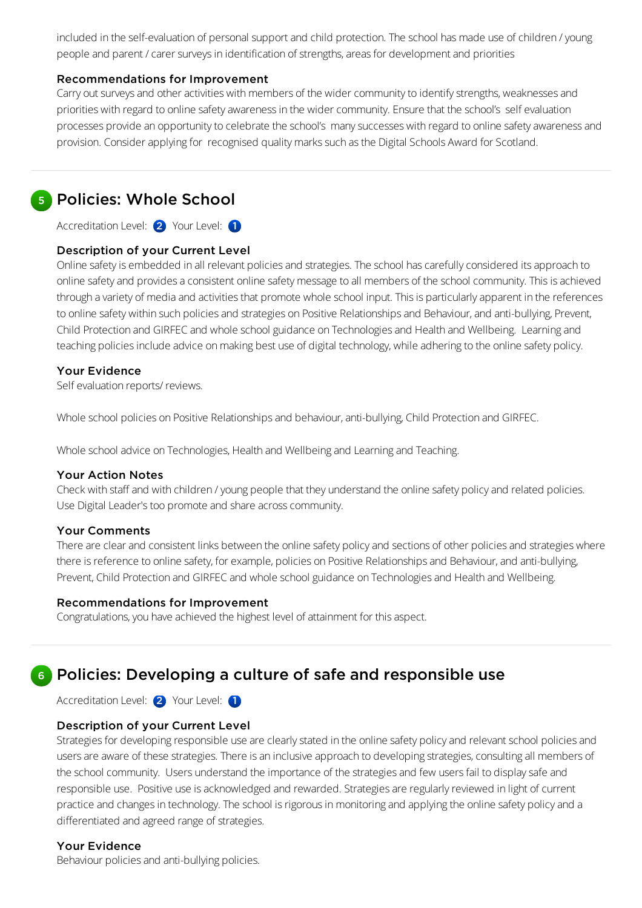included in the self-evaluation of personal support and child protection. The school has made use of children / young people and parent / carer surveys in identification of strengths, areas for development and priorities

### Recommendations for Improvement

Carry out surveys and other activities with members of the wider community to identify strengths, weaknesses and priorities with regard to online safety awareness in the wider community. Ensure that the school's self evaluation processes provide an opportunity to celebrate the school's many successes with regard to online safety awareness and provision. Consider applying for recognised quality marks such as the Digital Schools Award for Scotland.

### 5 Policies: Whole School

Accreditation Level: 2 Your Level: 1

### Description of your Current Level

Online safety is embedded in all relevant policies and strategies. The school has carefully considered its approach to online safety and provides a consistent online safety message to all members of the school community. This is achieved through a variety of media and activities that promote whole school input. This is particularly apparent in the references to online safety within such policies and strategies on Positive Relationships and Behaviour, and anti-bullying, Prevent, Child Protection and GIRFEC and whole school guidance on Technologies and Health and Wellbeing. Learning and teaching policies include advice on making best use of digital technology, while adhering to the online safety policy.

### Your Evidence

Self evaluation reports/ reviews.

Whole school policies on Positive Relationships and behaviour, anti-bullying, Child Protection and GIRFEC.

Whole school advice on Technologies, Health and Wellbeing and Learning and Teaching.

### Your Action Notes

Check with staffand with children /young people that they understand the online safety policyand related policies. Use Digital Leader's too promote and share across community.

### Your Comments

There are clear and consistent links between the online safety policy and sections of other policies and strategies where there is reference to online safety, for example, policies on Positive Relationships and Behaviour, and anti-bullying, Prevent, Child Protection and GIRFEC and whole school guidance on Technologies and Health and Wellbeing.

### Recommendations for Improvement

Congratulations, you have achieved the highest level of attainment for this aspect.

#### Policies: Developing a culture of safe and responsible use 6

Accreditation Level: 2 Your Level: 1

### Description of your Current Level

Strategies for developing responsible use are clearly stated in the online safety policy and relevant school policies and users are aware of these strategies. There is an inclusive approach to developing strategies, consulting all members of the school community. Users understand the importance of the strategies and few users fail to display safe and responsible use. Positive use is acknowledged and rewarded. Strategies are regularly reviewed in light of current practice and changes in technology. The school is rigorous in monitoring and applying the online safety policy and a differentiated and agreed range of strategies.

### Your Evidence

Behaviour policies and anti-bullying policies.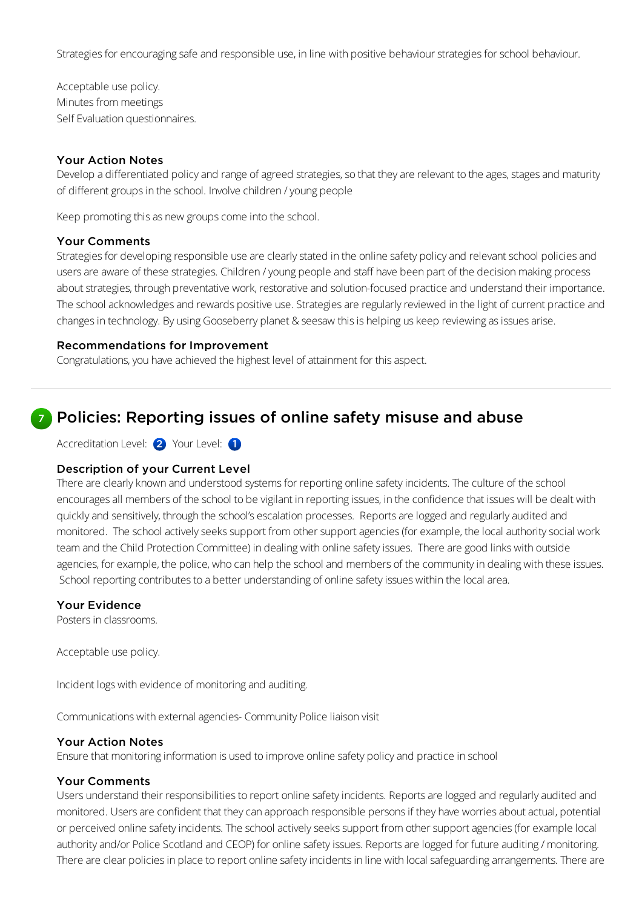Strategies for encouraging safe and responsible use, in line with positive behaviour strategies for school behaviour.

Acceptable use policy. Minutes from meetings Self Evaluation questionnaires.

### Your Action Notes

Develop a differentiated policy and range of agreed strategies, so that they are relevant to the ages, stages and maturity of different groups in the school. Involve children / young people

Keep promoting this as new groups come into the school.

### Your Comments

Strategies for developing responsible use are clearly stated in the online safety policy and relevant school policies and users are aware of these strategies. Children / young people and staff have been part of the decision making process about strategies, through preventative work, restorative and solution-focused practice and understand their importance. The school acknowledges and rewards positive use. Strategies are regularly reviewed in the light of current practice and changes in technology. By using Gooseberry planet & seesaw this is helping us keep reviewing as issues arise.

### Recommendations for Improvement

Congratulations, you have achieved the highest level of attainment for this aspect.

### Policies: Reporting issues of online safety misuse and abuse

Accreditation Level: 2 Your Level: 1

### Description of your Current Level

There are clearly known and understood systems for reporting online safety incidents. The culture of the school encourages all members of the school to be vigilant in reporting issues, in the confidence that issues will be dealt with quicklyand sensitively, through the school's escalation processes. Reportsare logged and regularlyaudited and monitored. The school actively seeks support from other support agencies (for example, the local authority social work teamand the Child Protection Committee) in dealing with online safetyissues. There are good links with outside agencies, for example, the police, who can help the school and members of the community in dealing with these issues. School reporting contributes to a better understanding of online safety issues within the local area.

### Your Evidence

7

Posters in classrooms.

Acceptable use policy.

Incident logs with evidence of monitoringand auditing.

Communications with external agencies- Community Police liaison visit

#### Your Action Notes

Ensure that monitoring information is used to improve online safety policy and practice in school

### Your Comments

Users understand their responsibilities to report online safety incidents. Reports are logged and regularly audited and monitored. Users are confident that they can approach responsible persons if they have worries about actual, potential or perceived online safety incidents. The school actively seeks support from other support agencies (for example local authority and/or Police Scotland and CEOP) for online safety issues. Reports are logged for future auditing / monitoring. There are clear policies in place to report online safety incidents in line with local safeguarding arrangements. There are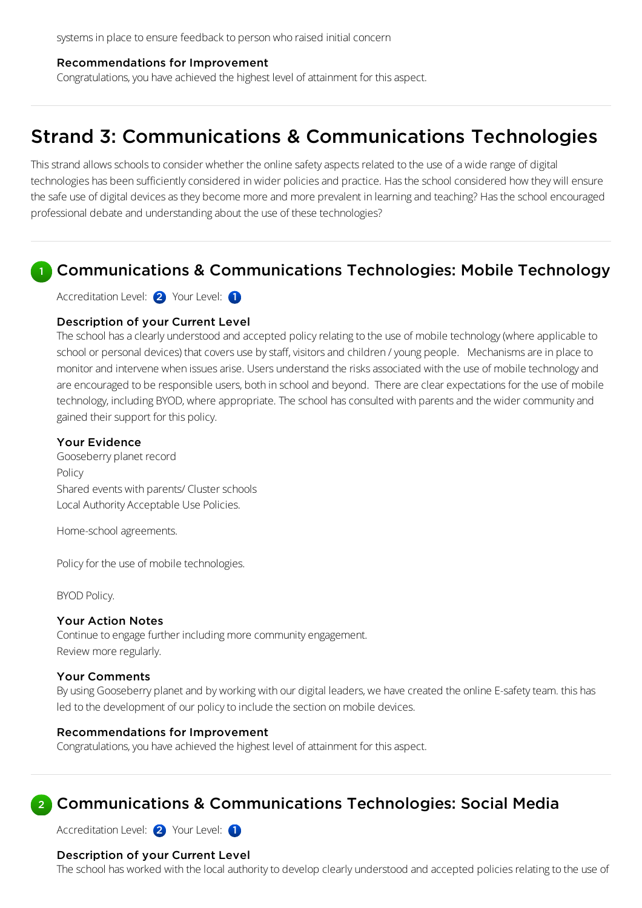#### Recommendations for Improvement

Congratulations, you have achieved the highest level of attainment for this aspect.

# Strand 3: Communications & Communications Technologies

This strand allows schools to consider whether the online safety aspects related to the use of a wide range of digital technologies has been sufficiently considered in wider policies and practice. Has the school considered how they will ensure the safe use of digital devices as they become more and more prevalent in learning and teaching? Has the school encouraged professional debate and understandingabout the use of these technologies?

#### Communications & Communications Technologies: Mobile Technology 1

Accreditation Level: 2 Your Level: 1

### Description of your Current Level

The school has a clearly understood and accepted policy relating to the use of mobile technology (where applicable to school or personal devices) that covers use by staff, visitors and children / young people. Mechanisms are in place to monitor and intervene when issues arise. Users understand the risks associated with the use of mobile technology and are encouraged to be responsible users, both in school and beyond. There are clear expectations for the use of mobile technology, including BYOD, where appropriate. The school has consulted with parents and the wider community and gained their support for this policy.

### Your Evidence

Gooseberry planet record Policy Shared events with parents/ Cluster schools Local Authority Acceptable Use Policies.

Home-school agreements.

Policy for the use of mobile technologies.

BYOD Policy.

#### Your Action Notes

Continue to engage further including more community engagement. Review more regularly.

#### Your Comments

By using Gooseberry planet and by working with our digital leaders, we have created the online E-safety team. this has led to the development of our policy to include the section on mobile devices.

#### Recommendations for Improvement

Congratulations, you have achieved the highest level of attainment for this aspect.

#### Communications & Communications Technologies: Social Media 2

Accreditation Level: 2 Your Level: 1

### Description of your Current Level

The school has worked with the local authority to develop clearly understood and accepted policies relating to the use of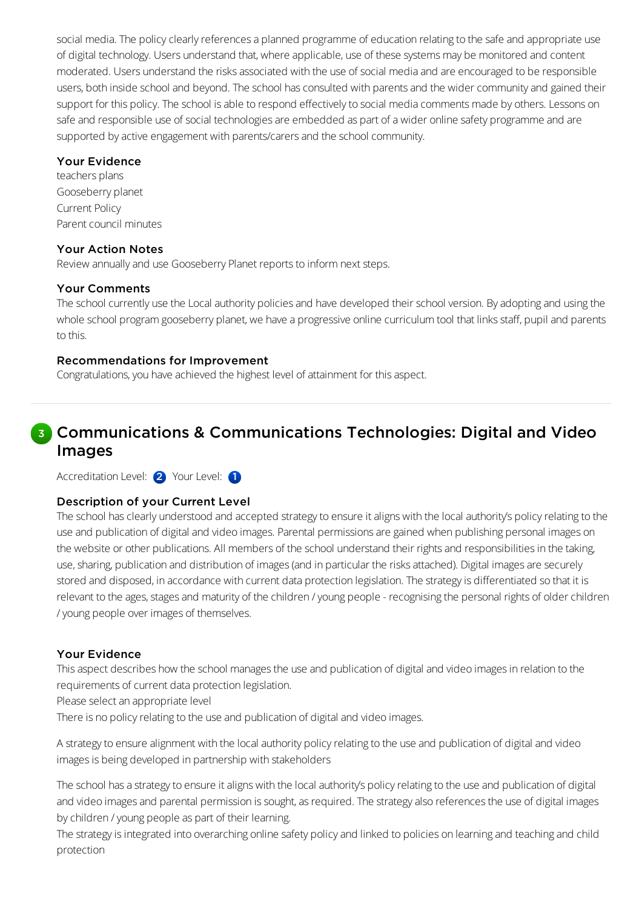social media. The policy clearly references a planned programme of education relating to the safe and appropriate use of digital technology. Users understand that, where applicable, use of these systemsmay be monitored and content moderated. Users understand the risks associated with the use of social media and are encouraged to be responsible users, both inside school and beyond. The school has consulted with parents and the wider community and gained their support for this policy. The school is able to respond effectively to social media comments made by others. Lessons on safe and responsible use of social technologies are embedded as part of a wider online safety programme and are supported by active engagement with parents/carers and the school community.

### Your Evidence

teachers plans Gooseberry planet Current Policy Parent council minutes

### Your Action Notes

Review annually and use Gooseberry Planet reports to inform next steps.

### Your Comments

The school currently use the Local authority policies and have developed their school version. By adopting and using the whole school program gooseberry planet, we have a progressive online curriculum tool that links staff, pupil and parents to this.

### Recommendations for Improvement

Congratulations, you have achieved the highest level of attainment for this aspect.

## **8** Communications & Communications Technologies: Digital and Video Images

Accreditation Level: 2 Your Level: 1

### Description of your Current Level

The school has clearly understood and accepted strategy to ensure it aligns with the local authority's policy relating to the use and publication of digital and video images. Parental permissions are gained when publishing personal images on the website or other publications. All members of the school understand their rights and responsibilities in the taking, use, sharing, publication and distribution of images (and in particular the risks attached). Digital images are securely stored and disposed, in accordance with current data protection legislation. The strategy is differentiated so that it is relevant to the ages, stages and maturity of the children / young people - recognising the personal rights of older children /young people over images of themselves.

### Your Evidence

This aspect describes how the school manages the use and publication of digital and video images in relation to the requirements of current data protection legislation.

Please select an appropriate level

There is no policy relating to the use and publication of digital and video images.

A strategy to ensure alignment with the local authority policy relating to the use and publication of digital and video images is being developed in partnership with stakeholders

The school has a strategy to ensure it aligns with the local authority's policy relating to the use and publication of digital and video images and parental permission is sought, as required. The strategy also references the use of digital images bychildren /young people as part of their learning.

The strategy is integrated into overarching online safety policy and linked to policies on learning and teaching and child protection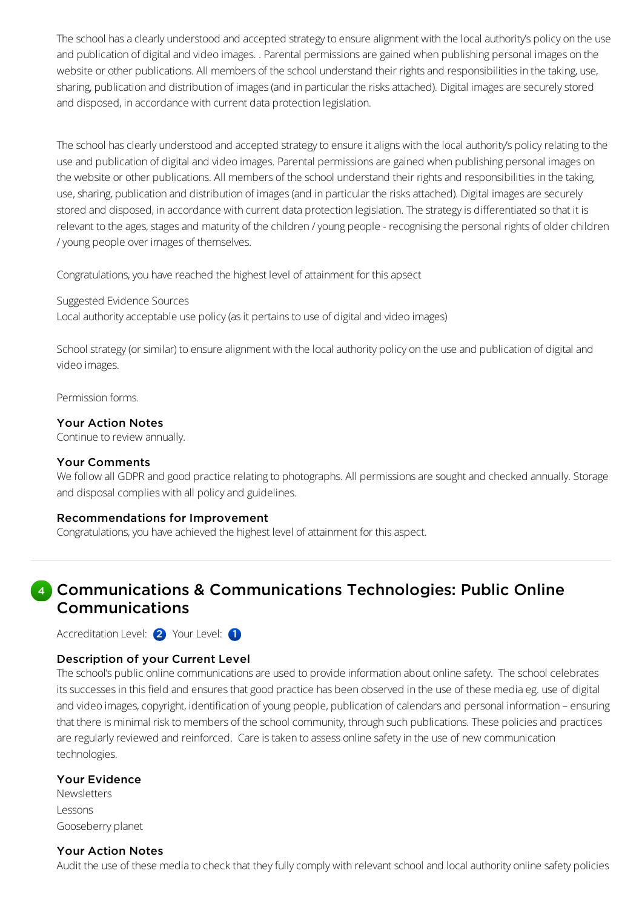The school has a clearly understood and accepted strategy to ensure alignment with the local authority's policy on the use and publication of digital and video images. . Parental permissions are gained when publishing personal images on the website or other publications. All members of the school understand their rights and responsibilities in the taking, use, sharing, publication and distribution of images (and in particular the risks attached). Digital images are securely stored and disposed, in accordance with current data protection legislation.

The school has clearly understood and accepted strategy to ensure it aligns with the local authority's policy relating to the use and publication of digital and video images. Parental permissions are gained when publishing personal images on the website or other publications. All members of the school understand their rights and responsibilities in the taking, use, sharing, publication and distribution of images (and in particular the risks attached). Digital images are securely stored and disposed, in accordance with current data protection legislation. The strategy is differentiated so that it is relevant to the ages, stages and maturity of the children / young people - recognising the personal rights of older children /young people over images of themselves.

Congratulations, you have reached the highest level of attainment for this apsect

### Suggested Evidence Sources

Local authority acceptable use policy (as it pertains to use of digital and video images)

School strategy (or similar) to ensure alignment with the local authority policy on the use and publication of digital and video images.

Permission forms.

### Your Action Notes

Continue to review annually.

### Your Comments

We follow all GDPR and good practice relating to photographs. All permissions are sought and checked annually. Storage and disposal complies with all policy and guidelines.

### Recommendations for Improvement

Congratulations, you have achieved the highest level of attainment for this aspect.

### 4 Communications & Communications Technologies: Public Online Communications

Accreditation Level: 2 Your Level: 1

### Description of your Current Level

The school's public online communications are used to provide information about online safety. The school celebrates its successes in this field and ensures that good practice has been observed in the use of these media eg. use of digital and video images, copyright, identification of young people, publication of calendars and personal information - ensuring that there is minimal risk to members of the school community, through such publications. These policies and practices are regularly reviewed and reinforced. Care is taken to assess online safety in the use of new communication technologies.

### Your Evidence

**Newsletters** Lessons Gooseberry planet

### Your Action Notes

Audit the use of these media to check that they fully comply with relevant school and local authority online safety policies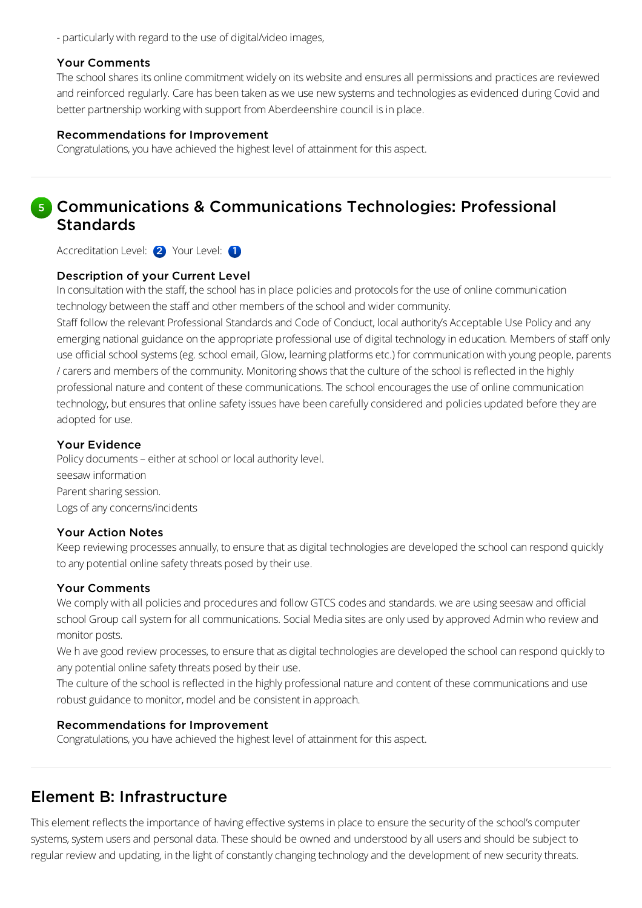- particularly with regard to the use of digital/video images,

### Your Comments

The school shares its online commitment widely on its website and ensures all permissions and practices are reviewed and reinforced regularly. Care has been taken as we use new systems and technologies as evidenced during Covid and better partnership working with support from Aberdeenshire council is in place.

### Recommendations for Improvement

Congratulations, you have achieved the highest level of attainment for this aspect.

### 5 Communications & Communications Technologies: Professional Standards

Accreditation Level: 2 Your Level: 1

### Description of your Current Level

In consultation with the staff, the school has in place policies and protocols for the use of online communication technology between the staff and other members of the school and wider community.

Staff follow the relevant Professional Standards and Code of Conduct, local authority's Acceptable Use Policy and any emerging national guidance on the appropriate professional use of digital technologyin education. Members of staff only use official school systems (eg. school email, Glow, learning platforms etc.) for communication with young people, parents /carersand members of the community. Monitoringshowsthat the culture of the school isreflected in the highly professional nature and content of these communications. The school encourages the use of online communication technology, but ensures that online safety issues have been carefully considered and policies updated before they are adopted for use.

### Your Evidence

Policy documents – either at school or local authority level. seesaw information Parent sharing session. Logs of any concerns/incidents

### Your Action Notes

Keep reviewing processes annually, to ensure that as digital technologies are developed the school can respond quickly to any potential online safety threats posed by their use.

### Your Comments

We comply with all policies and procedures and follow GTCS codes and standards. we are using seesaw and official school Group call system for all communications. Social Media sites are only used by approved Admin who review and monitor posts.

We h ave good review processes, to ensure that as digital technologies are developed the school can respond quickly to any potential online safety threats posed by their use.

The culture of the school is reflected in the highly professional nature and content of these communications and use robust guidance to monitor, model and be consistent in approach.

### Recommendations for Improvement

Congratulations, you have achieved the highest level of attainment for this aspect.

### Element B: Infrastructure

This element reflects the importance of having effective systems in place to ensure the security of the school's computer systems, system users and personal data. These should be owned and understood by all users and should be subject to regular review and updating, in the light of constantly changing technology and the development of new security threats.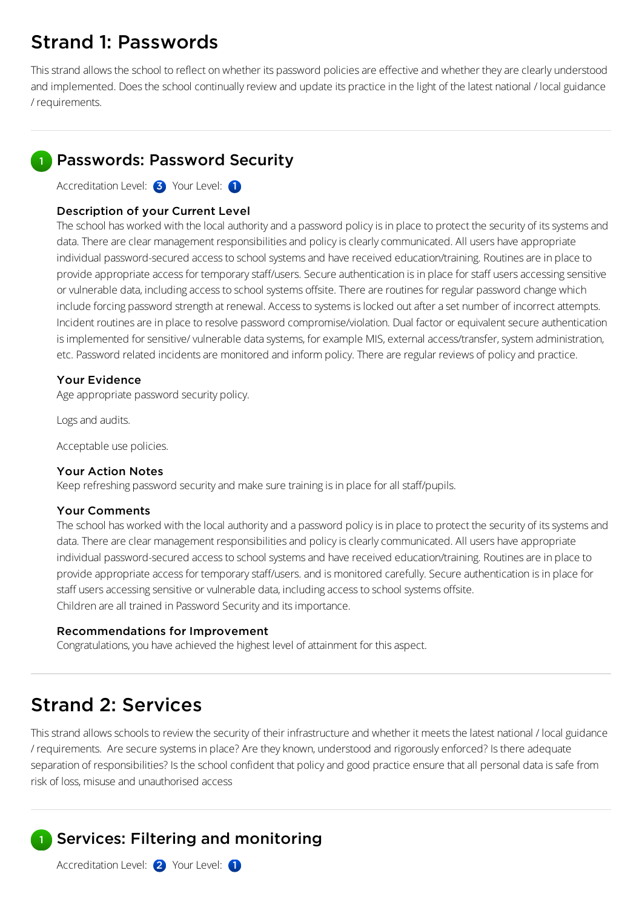# Strand 1: Passwords

This strand allows the school to reflect on whether its password policies are effective and whether they are clearly understood and implemented. Does the school continually review and update its practice in the light of the latest national / local guidance / requirements.

### Passwords: Password Security

Accreditation Level: 3 Your Level: 1

### Description of your Current Level

The school has worked with the local authority and a password policy is in place to protect the security of its systems and data. There are clear management responsibilities and policy is clearly communicated. All users have appropriate individual password-secured access to school systems and have received education/training. Routines are in place to provide appropriate access for temporary staff/users. Secure authentication is in place for staff users accessing sensitive or vulnerable data, including access to school systems offsite. There are routines for regular password change which include forcing password strength at renewal. Access to systems is locked out after a set number of incorrect attempts. Incident routines are in place to resolve password compromise/violation. Dual factor or equivalent secure authentication is implemented for sensitive/vulnerable data systems, for example MIS, external access/transfer, system administration, etc. Password related incidents are monitored and inform policy. There are regular reviews of policy and practice.

### Your Evidence

Age appropriate password security policy.

Logs and audits.

Acceptable use policies.

### Your Action Notes

Keep refreshing password security and make sure training is in place for all staff/pupils.

### Your Comments

The school has worked with the local authority and a password policy is in place to protect the security of its systems and data. There are clear management responsibilities and policy is clearly communicated. All users have appropriate individual password-secured access to school systems and have received education/training. Routines are in place to provide appropriate access for temporary staff/users. and is monitored carefully. Secure authentication is in place for staff users accessing sensitive or vulnerable data, including access to school systems offsite. Children are all trained in Password Securityand itsimportance.

### Recommendations for Improvement

Congratulations, you have achieved the highest level of attainment for this aspect.

# Strand 2: Services

This strand allows schools to review the security of their infrastructure and whether it meets the latest national / local guidance / requirements. Are secure systemsin place? Are theyknown, understood and rigorously enforced? Isthere adequate separation of responsibilities? Is the school confident that policy and good practice ensure that all personal data is safe from risk of loss,misuse and unauthorised access

#### Services: Filtering and monitoring 1

Accreditation Level: 2 Your Level: 1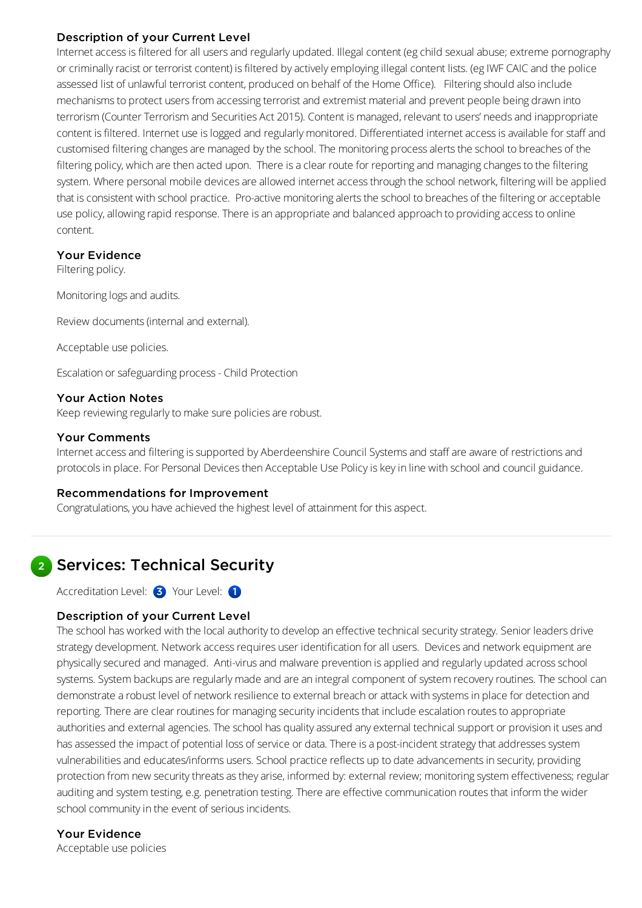### Description of your Current Level

Internet access is filtered for all users and regularly updated. Illegal content (eg child sexual abuse; extreme pornography or criminally racist or terrorist content) is filtered by actively employing illegal content lists. (eg IWF CAIC and the police assessed list of unlawful terrorist content, produced on behalf of the Home Office). Filtering should also include mechanisms to protect users from accessing terrorist and extremist material and prevent people being drawn into terrorism (Counter Terrorism and Securities Act 2015). Content is managed, relevant to users' needs and inappropriate content is filtered. Internet use is logged and regularly monitored. Differentiated internet access is available for staff and customised filtering changes are managed by the school. The monitoring process alerts the school to breaches of the filtering policy, which are then acted upon. There is a clear route for reporting and managing changes to the filtering system. Where personal mobile devices are allowed internet access through the school network, filtering will be applied that is consistent with school practice. Pro-active monitoring alerts the school to breaches of the filtering or acceptable use policy, allowing rapid response. There is an appropriate and balanced approach to providing access to online content.

### Your Evidence

Filtering policy.

Monitoring logs and audits.

Review documents (internal and external).

Acceptable use policies.

Escalation orsafeguarding process- Child Protection

### Your Action Notes

Keep reviewing regularly to make sure policies are robust.

### Your Comments

Internet access and filtering is supported by Aberdeenshire Council Systems and staff are aware of restrictions and protocolsin place. For Personal Devicesthen Acceptable Use Policyiskeyin line with schooland council guidance.

### Recommendations for Improvement

Congratulations, you have achieved the highest level of attainment for this aspect.

## 2 Services: Technical Security

Accreditation Level: 3 Your Level: 1

### Description of your Current Level

The school has worked with the local authority to develop an effective technical security strategy. Senior leaders drive strategy development. Network access requires user identification for all users. Devices and network equipment are physically secured and managed. Anti-virus and malware prevention is applied and regularly updated across school systems. System backups are regularly made and are an integral component of system recovery routines. The school can demonstrate a robust level of network resilience to external breach or attack with systems in place for detection and reporting. There are clear routines for managing security incidents that include escalation routes to appropriate authorities and external agencies. The school has quality assured any external technical support or provision it uses and has assessed the impact of potential loss of service or data. There is a post-incident strategy that addresses system vulnerabilities and educates/informs users. School practice reflects up to date advancements in security, providing protection from new security threats as they arise, informed by: external review; monitoring system effectiveness; regular auditing and system testing, e.g. penetration testing. There are effective communication routes that inform the wider school community in the event of serious incidents.

### Your Evidence

Acceptable use policies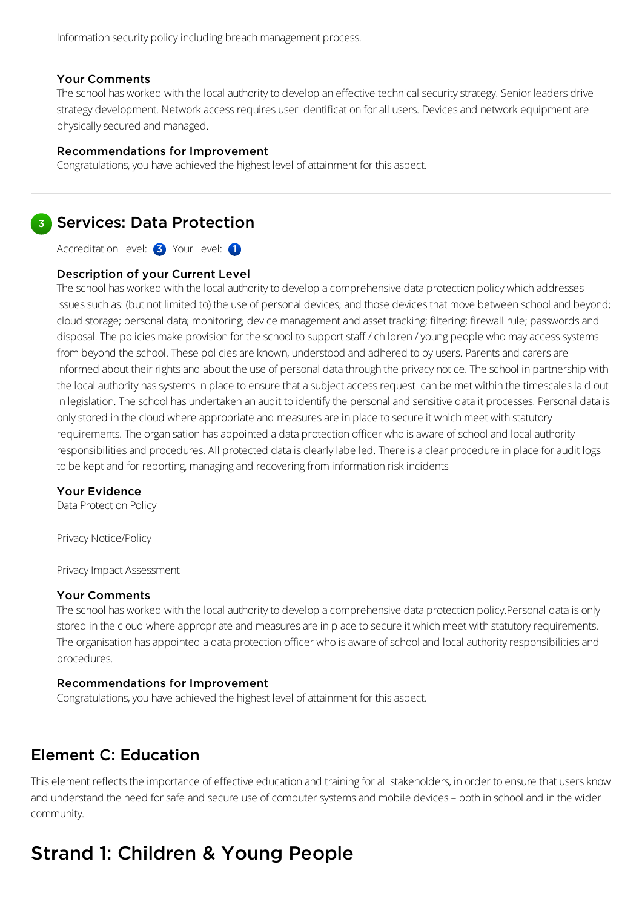### Your Comments

The school has worked with the local authority to develop an effective technical security strategy. Senior leaders drive strategy development. Network access requires user identification for all users. Devices and network equipment are physicallysecured and managed.

### Recommendations for Improvement

Congratulations, you have achieved the highest level of attainment for this aspect.

### **3** Services: Data Protection

Accreditation Level: 3 Your Level: 1

### Description of your Current Level

The school has worked with the local authority to develop a comprehensive data protection policy which addresses issues such as: (but not limited to) the use of personal devices; and those devices that move between school and beyond; cloud storage; personal data; monitoring; device management and asset tracking; filtering; firewall rule; passwords and disposal. The policies make provision for the school to support staff / children / young people who may access systems from beyond the school. These policies are known, understood and adhered to by users. Parents and carers are informed about their rights and about the use of personal data through the privacy notice. The school in partnership with the local authority has systems in place to ensure that a subject access request can be met within the timescales laid out in legislation. The school has undertaken an audit to identify the personal and sensitive data it processes. Personal data is only stored in the cloud where appropriate and measures are in place to secure it which meet with statutory requirements. The organisation has appointed a data protection officer who is aware of school and local authority responsibilities and procedures. All protected data is clearly labelled. There is a clear procedure in place for audit logs to be kept and for reporting, managing and recovering from information risk incidents

### Your Evidence

Data Protection Policy

Privacy Notice/Policy

Privacy Impact Assessment

### Your Comments

The school has worked with the local authority to develop a comprehensive data protection policy.Personal data is only stored in the cloud where appropriate and measures are in place to secure it which meet with statutory requirements. The organisation has appointed a data protection officer who is aware of school and local authority responsibilities and procedures.

### Recommendations for Improvement

Congratulations, you have achieved the highest level of attainment for this aspect.

### Element C: Education

This element reflects the importance of effective education and training for all stakeholders, in order to ensure that users know and understand the need for safe and secure use of computer systems and mobile devices – both in school and in the wider community.

# Strand 1: Children & Young People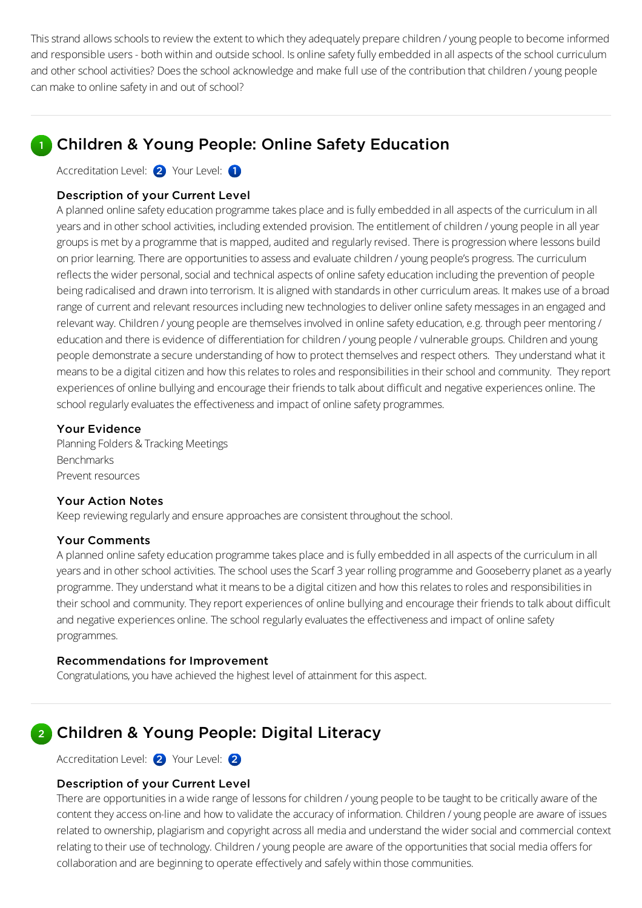This strand allows schools to review the extent to which they adequately prepare children / young people to become informed and responsible users - both within and outside school. Is online safety fully embedded in all aspects of the school curriculum and other school activities? Does the school acknowledge and make full use of the contribution that children / young people can make to online safety in and out of school?

## Children & Young People: Online Safety Education

Accreditation Level: 2 Your Level: 1

### Description of your Current Level

A planned online safety education programme takes place and is fully embedded in all aspects of the curriculum in all years and in other school activities, including extended provision. The entitlement of children / young people in all year groups is met by a programme that is mapped, audited and regularly revised. There is progression where lessons build on prior learning. There are opportunities to assess and evaluate children / young people's progress. The curriculum reflects the wider personal, social and technical aspects of online safety education including the prevention of people being radicalised and drawn into terrorism. It is aligned with standards in other curriculum areas. It makes use of a broad range of current and relevant resources including new technologies to deliver online safety messages in an engaged and relevant way. Children / young people are themselves involved in online safety education, e.g. through peer mentoring / education and there is evidence of differentiation forchildren /young people /vulnerable groups. Children and young people demonstrate asecure understanding of how to protect themselvesand respect others. They understand what it means to be a digital citizen and how this relates to roles and responsibilities in their school and community. They report experiences of online bullying and encourage their friends to talk about difficult and negative experiences online. The school regularly evaluates the effectiveness and impact of online safety programmes.

### Your Evidence

Planning Folders & Tracking Meetings Benchmarks Prevent resources

### Your Action Notes

Keep reviewing regularly and ensure approaches are consistent throughout the school.

### Your Comments

A planned online safety education programme takes place and is fully embedded in all aspects of the curriculum in all years and in other school activities. The school uses the Scarf 3 year rolling programme and Gooseberry planet as a yearly programme. They understand what it means to be a digital citizen and how this relates to roles and responsibilities in their school and community. They report experiences of online bullying and encourage their friends to talk about difficult and negative experiences online. The school regularly evaluates the effectiveness and impact of online safety programmes.

#### Recommendations for Improvement

Congratulations, you have achieved the highest level of attainment for this aspect.

## 2 Children & Young People: Digital Literacy

Accreditation Level: 2 Your Level: 2

### Description of your Current Level

There are opportunities in a wide range of lessons for children / young people to be taught to be critically aware of the content they access on-line and how to validate the accuracy of information. Children / young people are aware of issues related to ownership, plagiarism and copyright across all media and understand the wider social and commercial context relating to their use of technology. Children / young people are aware of the opportunities that social media offers for collaboration and are beginningto operate effectivelyand safely within those communities.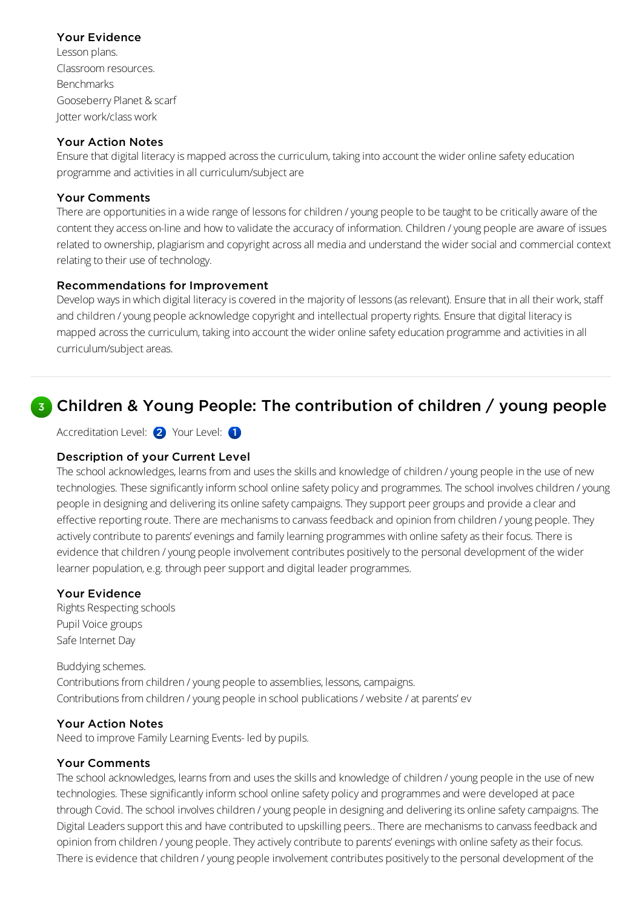### Your Evidence

Lesson plans. Classroom resources. Benchmarks Gooseberry Planet & scarf Jotter work/class work

### Your Action Notes

Ensure that digital literacy is mapped across the curriculum, taking into account the wider online safety education programme and activities in all curriculum/subject are

### Your Comments

There are opportunities in a wide range of lessons for children / young people to be taught to be critically aware of the content theyaccess on-line and how to validate the accuracy of information. Children /young people are aware of issues related to ownership, plagiarism and copyright across all media and understand the wider social and commercial context relating to their use of technology.

### Recommendations for Improvement

Develop ways in which digital literacy is covered in the majority of lessons (as relevant). Ensure that in all their work, staff and children / young people acknowledge copyright and intellectual property rights. Ensure that digital literacy is mapped across the curriculum, taking into account the wider online safety education programme and activities in all curriculum/subject areas.

## **B** Children & Young People: The contribution of children / young people

Accreditation Level: 2 Your Level: 1

### Description of your Current Level

The school acknowledges, learns from and uses the skills and knowledge of children / young people in the use of new technologies. These significantly inform school online safety policy and programmes. The school involves children / young people in designing and delivering its online safety campaigns. They support peer groups and provide a clear and effective reporting route. There are mechanisms to canvass feedback and opinion from children / young people. They actively contribute to parents' evenings and family learning programmes with online safety as their focus. There is evidence that children / young people involvement contributes positively to the personal development of the wider learner population, e.g. through peer support and digital leader programmes.

### Your Evidence

Rights Respecting schools Pupil Voice groups Safe Internet Day

Buddying schemes. Contributions from children / young people to assemblies, lessons, campaigns. Contributions from children / young people in school publications / website / at parents' ev

### Your Action Notes

Need to improve Family Learning Events- led by pupils.

### Your Comments

The school acknowledges, learns from and uses the skills and knowledge of children / young people in the use of new technologies. These significantly inform school online safety policy and programmes and were developed at pace through Covid. The school involves children / young people in designing and delivering its online safety campaigns. The Digital Leaders support this and have contributed to upskilling peers.. There are mechanisms to canvass feedback and opinion from children / young people. They actively contribute to parents' evenings with online safety as their focus. There is evidence that children / young people involvement contributes positively to the personal development of the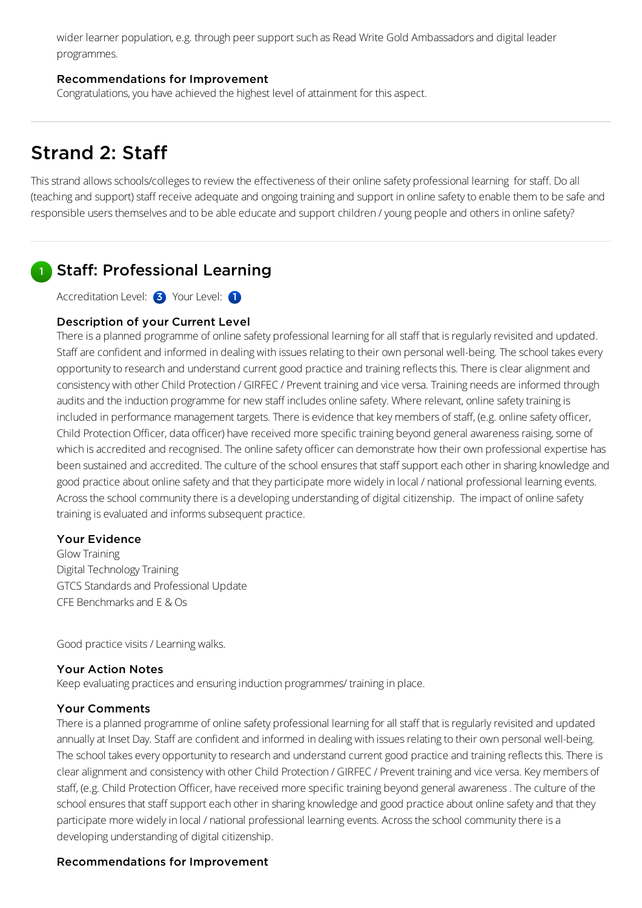wider learner population, e.g. through peer support such as Read Write Gold Ambassadors and digital leader programmes.

### Recommendations for Improvement

Congratulations, you have achieved the highest level of attainment for this aspect.

# Strand 2: Staff

This strand allows schools/colleges to review the effectiveness of their online safety professional learning for staff. Do all (teaching and support) staff receive adequate and ongoing training and support in online safety to enable them to be safe and responsible users themselves and to be able educate and support children / young people and others in online safety?

#### Staff: Professional Learning 1

Accreditation Level: 3 Your Level: 1

### Description of your Current Level

There is a planned programme of online safety professional learning for all staff that is regularly revisited and updated. Staff are confident and informed in dealing with issues relating to their own personal well-being. The school takes every opportunity to research and understand current good practice and training reflects this. There is clear alignment and consistency with other Child Protection / GIRFEC / Prevent training and vice versa. Training needs are informed through audits and the induction programme for new staff includes online safety. Where relevant, online safety training is included in performance management targets. There is evidence that key members of staff, (e.g. online safety officer, Child Protection Officer, data officer) have received more specific training beyond general awareness raising, some of which is accredited and recognised. The online safety officer can demonstrate how their own professional expertise has been sustained and accredited. The culture of the school ensures that staff support each other in sharing knowledge and good practice about online safety and that they participate more widely in local / national professional learning events. Across the school community there is a developing understanding of digital citizenship. The impact of online safety training is evaluated and informs subsequent practice.

### Your Evidence

Glow Training Digital TechnologyTraining GTCS Standards and Professional Update CFE Benchmarksand E & Os

Good practice visits/Learning walks.

### Your Action Notes

Keep evaluating practices and ensuring induction programmes/ training in place.

### Your Comments

There is a planned programme of online safety professional learning for all staff that is regularly revisited and updated annually at Inset Day. Staff are confident and informed in dealing with issues relating to their own personal well-being. The school takes every opportunity to research and understand current good practice and training reflects this. There is clear alignment and consistency with other Child Protection / GIRFEC / Prevent training and vice versa. Key members of staff, (e.g. Child Protection Officer, have received more specific training beyond general awareness. The culture of the school ensures that staff support each other in sharing knowledge and good practice about online safety and that they participate more widelyin local / national professional learning events. Acrossthe school communitythere isa developing understanding of digital citizenship.

### Recommendations for Improvement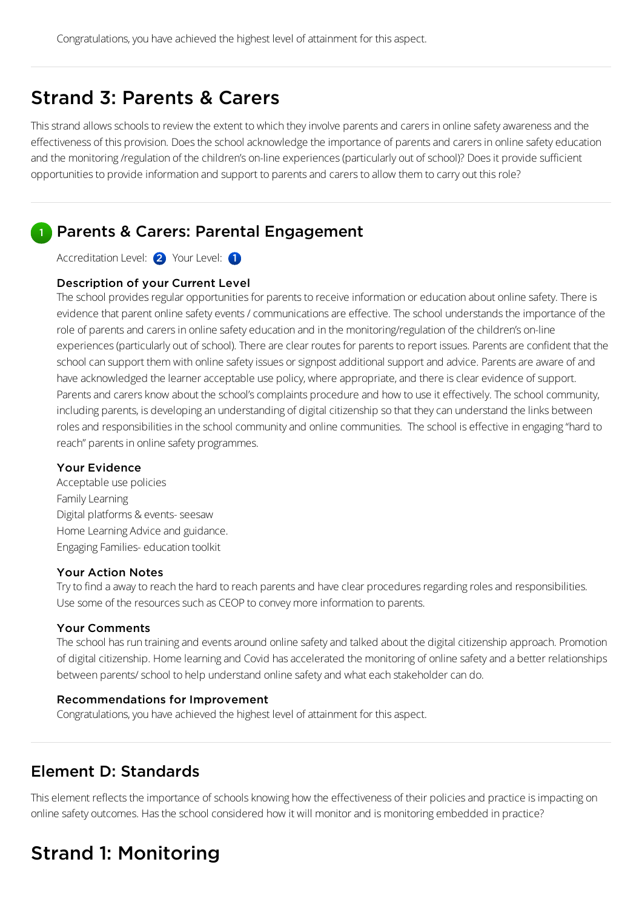## Strand 3: Parents & Carers

This strand allows schools to review the extent to which they involve parents and carers in online safety awareness and the effectiveness of this provision. Does the school acknowledge the importance of parents and carers in online safety education and the monitoring /regulation of the children's on-line experiences (particularly out of school)? Does it provide sufficient opportunities to provide information and support to parents and carers to allow them to carry out this role?

#### Parents & Carers: Parental Engagement 1

Accreditation Level: 2 Your Level: 1

### Description of your Current Level

The school provides regular opportunities for parents to receive information or education about online safety. There is evidence that parent online safety events / communications are effective. The school understands the importance of the role of parents and carers in online safety education and in the monitoring/regulation of the children's on-line experiences (particularly out of school). There are clear routes for parents to report issues. Parents are confident that the school can support them with online safety issues or signpost additional support and advice. Parents are aware of and have acknowledged the learner acceptable use policy, where appropriate, and there is clear evidence of support. Parents and carers know about the school's complaints procedure and how to use it effectively. The school community, including parents, is developing an understanding of digital citizenship so that they can understand the links between roles and responsibilities in the school community and online communities. The school is effective in engaging "hard to reach" parents in online safety programmes.

### Your Evidence

Acceptable use policies Family Learning Digital platforms & events-seesaw Home Learning Advice and guidance. Engaging Families- education toolkit

### Your Action Notes

Try to find a away to reach the hard to reach parents and have clear procedures regarding roles and responsibilities. Use some of the resources such as CEOP to convey more information to parents.

### Your Comments

The school has run training and events around online safety and talked about the digital citizenship approach. Promotion of digital citizenship. Home learning and Covid has accelerated the monitoring of online safety and a better relationships between parents/ school to help understand online safety and what each stakeholder can do.

### Recommendations for Improvement

Congratulations, you have achieved the highest level of attainment for this aspect.

### Element D: Standards

This element reflects the importance of schools knowing how the effectiveness of their policies and practice is impacting on online safety outcomes. Has the school considered how it will monitor and is monitoring embedded in practice?

# Strand 1: Monitoring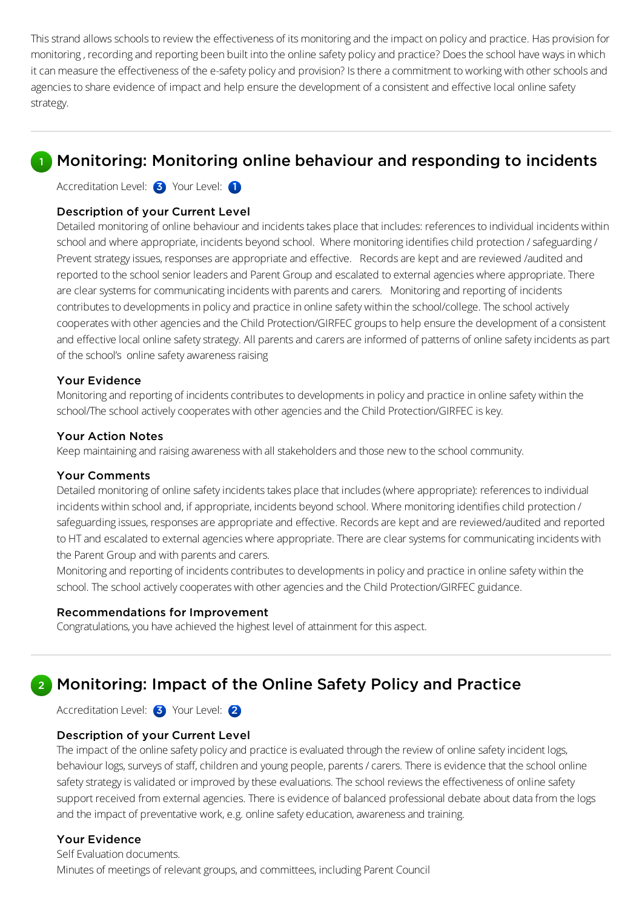This strand allows schools to review the effectiveness of its monitoring and the impact on policy and practice. Has provision for monitoring, recordingand reporting been built into the online safety policyand practice? Doesthe school have waysin which it can measure the effectiveness of the e-safety policy and provision? Is there a commitment to working with other schools and agencies to share evidence of impact and help ensure the development of a consistent and effective local online safety strategy.

### **Monitoring: Monitoring online behaviour and responding to incidents**

Accreditation Level: 3 Your Level: 1

#### Description of your Current Level

Detailed monitoring of online behaviour and incidents takes place that includes: references to individual incidents within school and where appropriate, incidents beyond school. Where monitoring identifies child protection / safeguarding / Prevent strategy issues, responses are appropriate and effective. Records are kept and are reviewed /audited and reported to the school senior leaders and Parent Group and escalated to external agencies where appropriate. There are clear systems for communicating incidents with parents and carers. Monitoring and reporting of incidents contributes to developments in policy and practice in online safety within the school/college. The school actively cooperates with other agencies and the Child Protection/GIRFEC groups to help ensure the development of a consistent and effective local online safety strategy. All parents and carers are informed of patterns of online safety incidents as part of the school's online safety awareness raising

#### Your Evidence

Monitoring and reporting of incidents contributes to developments in policy and practice in online safety within the school/The school actively cooperates with other agencies and the Child Protection/GIRFEC is key.

#### Your Action Notes

Keep maintaining and raising awareness with all stakeholders and those new to the school community.

#### Your Comments

Detailed monitoring of online safety incidents takes place that includes (where appropriate): references to individual incidents within school and, if appropriate, incidents beyond school. Where monitoring identifies child protection / safeguarding issues, responses are appropriate and effective. Records are kept and are reviewed/audited and reported to HT and escalated to external agencies where appropriate. There are clear systems for communicating incidents with the Parent Group and with parents and carers.

Monitoring and reporting of incidents contributes to developments in policy and practice in online safety within the school. The school actively cooperates with other agencies and the Child Protection/GIRFEC guidance.

#### Recommendations for Improvement

Congratulations, you have achieved the highest level of attainment for this aspect.

### 2 Monitoring: Impact of the Online Safety Policy and Practice

Accreditation Level: 3 Your Level: 2

#### Description of your Current Level

The impact of the online safety policy and practice is evaluated through the review of online safety incident logs, behaviour logs, surveys of staff, children and young people, parents / carers. There is evidence that the school online safety strategy is validated or improved by these evaluations. The school reviews the effectiveness of online safety support received from external agencies. There is evidence of balanced professional debate about data from the logs and the impact of preventative work, e.g. online safety education, awareness and training.

### Your Evidence

Self Evaluation documents. Minutes of meetings of relevant groups, and committees, including Parent Council